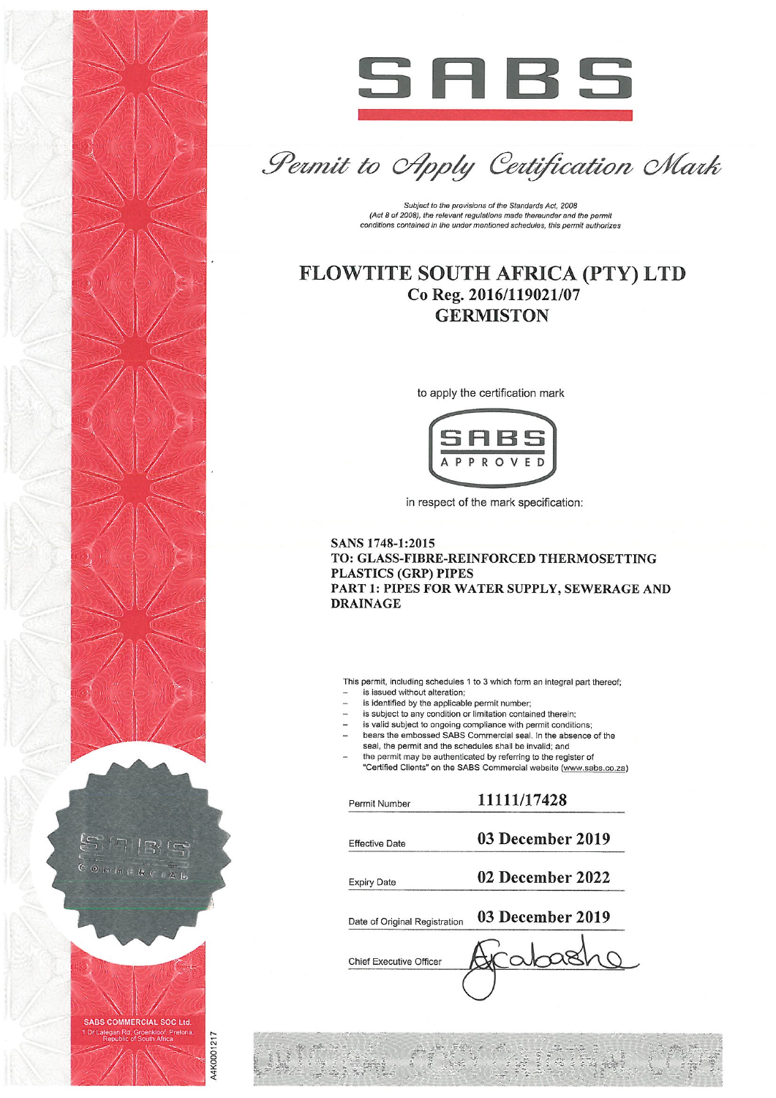



Permit to Apply Certification Mark

Subject to the provisions of the Standards Act, 2008 (Act 8 of 2008), the relevant regulations made thereunder and the permit conditions contained in the under mentioned schedules, this permit authorizes

## FLOWTITE SOUTH AFRICA (PTY) LTD Co Reg. 2016/119021/07 **GERMISTON**

to apply the certification mark



in respect of the mark specification:

SANS 1748-1:2015 TO: GLASS-FIBRE-REINFORCED THERMOSETTING **PLASTICS (GRP) PIPES** PART 1: PIPES FOR WATER SUPPLY, SEWERAGE AND **DRAINAGE** 

This permit, including schedules 1 to 3 which form an integral part thereof;

- is issued without alteration;
- is identified by the applicable permit number;
- is subject to any condition or limitation contained therein;
- is valid subject to ongoing compliance with permit conditions;
- bears the embossed SABS Commercial seal. In the absence of the seal, the permit and the schedules shall be invalid; and the permit may be authenticated by referring to the register of
- "Certified Clients" on the SABS Commercial website (www.sabs.co.za)

Permit Number

**Effective Date** 

03 December 2019

**Expiry Date** 

02 December 2022

03 December 2019 Date of Original Registration

11111/17428

**Chief Executive Officer**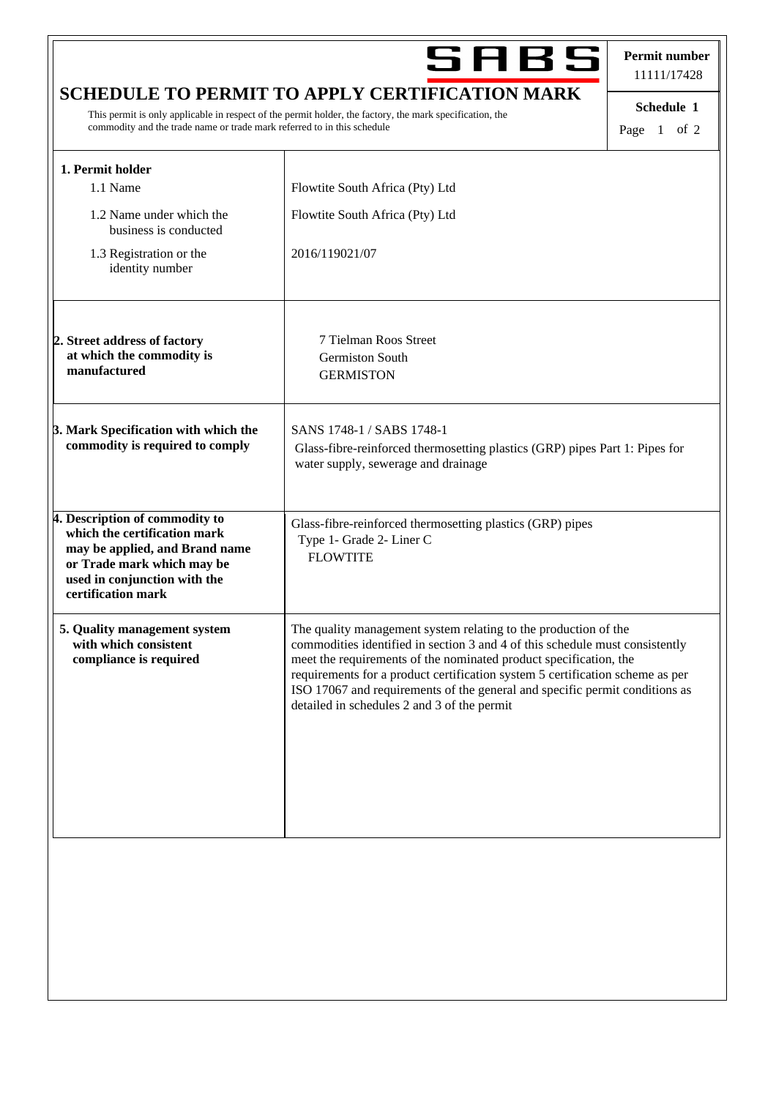|                                                                                                                                                                                                                                              | SABS                                                                                                                                                                                                                                                                                                                                                                                                                                | Permit number<br>11111/17428 |
|----------------------------------------------------------------------------------------------------------------------------------------------------------------------------------------------------------------------------------------------|-------------------------------------------------------------------------------------------------------------------------------------------------------------------------------------------------------------------------------------------------------------------------------------------------------------------------------------------------------------------------------------------------------------------------------------|------------------------------|
| <b>SCHEDULE TO PERMIT TO APPLY CERTIFICATION MARK</b><br>This permit is only applicable in respect of the permit holder, the factory, the mark specification, the<br>commodity and the trade name or trade mark referred to in this schedule |                                                                                                                                                                                                                                                                                                                                                                                                                                     | Schedule 1<br>Page 1 of 2    |
| 1. Permit holder<br>1.1 Name                                                                                                                                                                                                                 | Flowtite South Africa (Pty) Ltd                                                                                                                                                                                                                                                                                                                                                                                                     |                              |
| 1.2 Name under which the<br>business is conducted                                                                                                                                                                                            | Flowtite South Africa (Pty) Ltd                                                                                                                                                                                                                                                                                                                                                                                                     |                              |
| 1.3 Registration or the<br>identity number                                                                                                                                                                                                   | 2016/119021/07                                                                                                                                                                                                                                                                                                                                                                                                                      |                              |
| 2. Street address of factory<br>at which the commodity is<br>manufactured                                                                                                                                                                    | 7 Tielman Roos Street<br>Germiston South<br><b>GERMISTON</b>                                                                                                                                                                                                                                                                                                                                                                        |                              |
| 3. Mark Specification with which the<br>commodity is required to comply                                                                                                                                                                      | SANS 1748-1 / SABS 1748-1<br>Glass-fibre-reinforced thermosetting plastics (GRP) pipes Part 1: Pipes for<br>water supply, sewerage and drainage                                                                                                                                                                                                                                                                                     |                              |
| 4. Description of commodity to<br>which the certification mark<br>may be applied, and Brand name<br>or Trade mark which may be<br>used in conjunction with the<br>certification mark                                                         | Glass-fibre-reinforced thermosetting plastics (GRP) pipes<br>Type 1- Grade 2- Liner C<br><b>FLOWTITE</b>                                                                                                                                                                                                                                                                                                                            |                              |
| 5. Quality management system<br>with which consistent<br>compliance is required                                                                                                                                                              | The quality management system relating to the production of the<br>commodities identified in section 3 and 4 of this schedule must consistently<br>meet the requirements of the nominated product specification, the<br>requirements for a product certification system 5 certification scheme as per<br>ISO 17067 and requirements of the general and specific permit conditions as<br>detailed in schedules 2 and 3 of the permit |                              |
|                                                                                                                                                                                                                                              |                                                                                                                                                                                                                                                                                                                                                                                                                                     |                              |